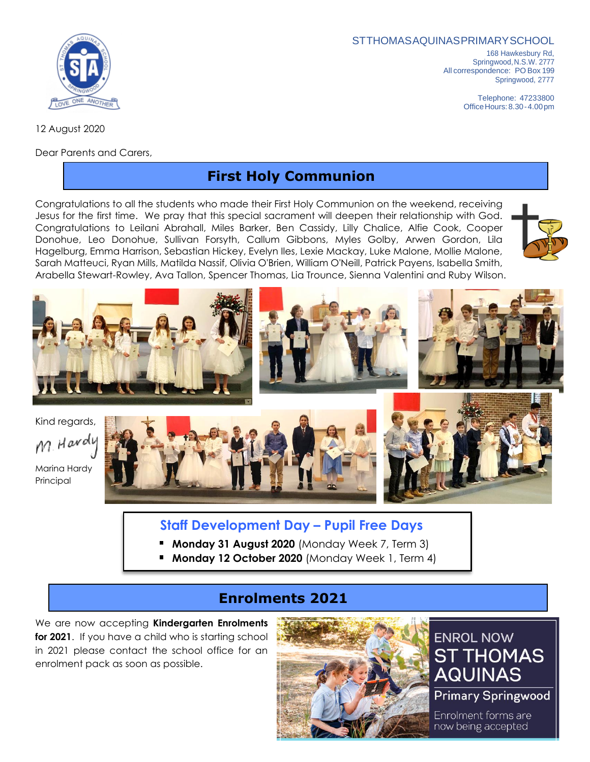#### STTHOMASAQUINASPRIMARYSCHOOL

168 Hawkesbury Rd, Springwood,N.S.W. 2777 All correspondence: PO Box 199 Springwood, 2777

> Telephone: 47233800 OfficeHours:8.30-4.00pm

12 August 2020

Dear Parents and Carers,

# **First Holy Communion**

Congratulations to all the students who made their First Holy Communion on the weekend, receiving Jesus for the first time. We pray that this special sacrament will deepen their relationship with God. Congratulations to Leilani Abrahall, Miles Barker, Ben Cassidy, Lilly Chalice, Alfie Cook, Cooper Donohue, Leo Donohue, Sullivan Forsyth, Callum Gibbons, Myles Golby, Arwen Gordon, Lila Hagelburg, Emma Harrison, Sebastian Hickey, Evelyn Iles, Lexie Mackay, Luke Malone, Mollie Malone, Sarah Matteuci, Ryan Mills, Matilda Nassif, Olivia O'Brien, William O'Neill, Patrick Payens, Isabella Smith, Arabella Stewart-Rowley, Ava Tallon, Spencer Thomas, Lia Trounce, Sienna Valentini and Ruby Wilson.



Kind regards, M. Hardy

Marina Hardy Principal





#### **Staff Development Day – Pupil Free Days**

- **Monday 31 August 2020** (Monday Week 7, Term 3)
- **Monday 12 October 2020** (Monday Week 1, Term 4)

### **Enrolments 2021**

We are now accepting **Kindergarten Enrolments for 2021**. If you have a child who is starting school in 2021 please contact the school office for an enrolment pack as soon as possible.



# **ENROL NOW ST THOMAS AQUINAS**

**Primary Springwood** 

Enrolment forms are now being accepted

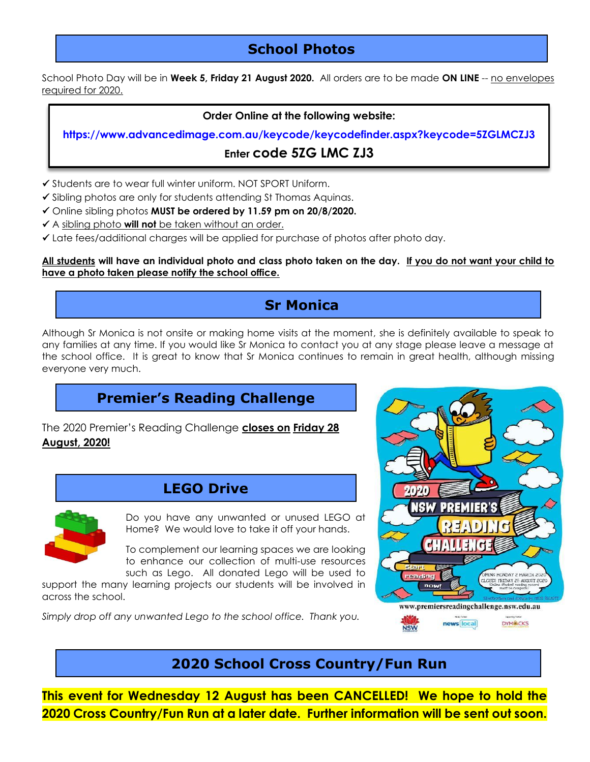# **School Photos**

School Photo Day will be in **Week 5, Friday 21 August 2020.** All orders are to be made **ON LINE** -- no envelopes required for 2020.

#### **Order Online at the following website:**

**https://www.advancedimage.com.au/keycode/keycodefinder.aspx?keycode=5ZGLMCZJ3**

#### **Enter code 5ZG LMC ZJ3**

- ✓ Students are to wear full winter uniform. NOT SPORT Uniform.
- ✓ Sibling photos are only for students attending St Thomas Aquinas.
- ✓ Online sibling photos **MUST be ordered by 11.59 pm on 20/8/2020.**
- ✓ A sibling photo **will not** be taken without an order.
- ✓ Late fees/additional charges will be applied for purchase of photos after photo day.

#### **All students will have an individual photo and class photo taken on the day. If you do not want your child to have a photo taken please notify the school office.**

# **Sr Monica**

Although Sr Monica is not onsite or making home visits at the moment, she is definitely available to speak to any families at any time. If you would like Sr Monica to contact you at any stage please leave a message at the school office. It is great to know that Sr Monica continues to remain in great health, although missing everyone very much.

# **Premier's Reading Challenge**

The 2020 Premier's Reading Challenge **closes on Friday 28 August, 2020!**

### **LEGO Drive**



Do you have any unwanted or unused LEGO at Home? We would love to take it off your hands.

To complement our learning spaces we are looking to enhance our collection of multi-use resources such as Lego. All donated Lego will be used to

support the many learning projects our students will be involved in across the school.

*Simply drop off any unwanted Lego to the school office. Thank you.*



### **2020 School Cross Country/Fun Run**

**This event for Wednesday 12 August has been CANCELLED! We hope to hold the 2020 Cross Country/Fun Run at a later date. Further information will be sent out soon.**